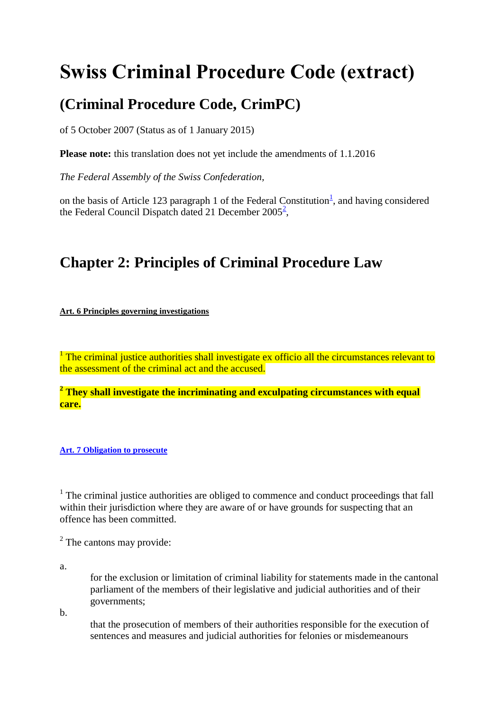## **Swiss Criminal Procedure Code (extract)**

## **(Criminal Procedure Code, CrimPC)**

of 5 October 2007 (Status as of 1 January 2015)

**Please note:** this translation does not yet include the amendments of 1.1.2016

*The Federal Assembly of the Swiss Confederation,*

on the basis of Article [1](https://www.admin.ch/opc/en/classified-compilation/20052319/index.html#fn1)23 paragraph 1 of the Federal Constitution<sup>1</sup>, and having considered the Federal Council Dispatch dated 21 December  $2005^2$  $2005^2$  $2005^2$ ,

## **Chapter 2: Principles of Criminal Procedure Law**

**Art. 6 [Principles governing investigations](https://www.admin.ch/opc/en/classified-compilation/20052319/index.html#a6)**

<sup>1</sup> The criminal justice authorities shall investigate ex officio all the circumstances relevant to the assessment of the criminal act and the accused.

**<sup>2</sup> They shall investigate the incriminating and exculpating circumstances with equal care.**

**Art. 7 [Obligation to prosecute](https://www.admin.ch/opc/en/classified-compilation/20052319/index.html#a7)**

<sup>1</sup> The criminal justice authorities are obliged to commence and conduct proceedings that fall within their jurisdiction where they are aware of or have grounds for suspecting that an offence has been committed.

 $2$  The cantons may provide:

a.

for the exclusion or limitation of criminal liability for statements made in the cantonal parliament of the members of their legislative and judicial authorities and of their governments;

b.

that the prosecution of members of their authorities responsible for the execution of sentences and measures and judicial authorities for felonies or misdemeanours